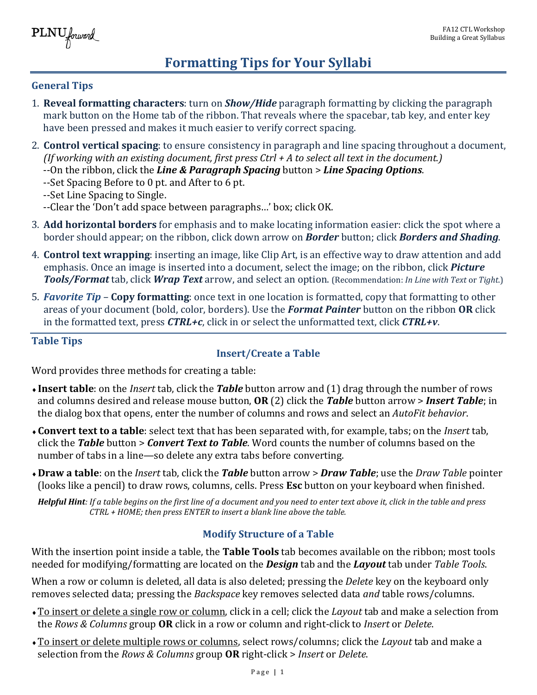PLNU forward

# **Formatting Tips for Your Syllabi**

#### **General Tips**

- 1. **Reveal formatting characters**: turn on *Show/Hide* paragraph formatting by clicking the paragraph mark button on the Home tab of the ribbon. That reveals where the spacebar, tab key, and enter key have been pressed and makes it much easier to verify correct spacing.
- 2. **Control vertical spacing**: to ensure consistency in paragraph and line spacing throughout a document, *(If working with an existing document, first press Ctrl + A to select all text in the document.)*
	- --On the ribbon, click the *Line & Paragraph Spacing* button > *Line Spacing Options*.
	- --Set Spacing Before to 0 pt. and After to 6 pt.
	- --Set Line Spacing to Single.
	- --Clear the 'Don't add space between paragraphs…' box; click OK.
- 3. **Add horizontal borders** for emphasis and to make locating information easier: click the spot where a border should appear; on the ribbon, click down arrow on *Border* button; click *Borders and Shading*.
- 4. **Control text wrapping**: inserting an image, like Clip Art, is an effective way to draw attention and add emphasis. Once an image is inserted into a document, select the image; on the ribbon, click *Picture Tools/Format* tab, click *Wrap Text* arrow, and select an option. (Recommendation: *In Line with Text* or *Tight*.)
- 5. *Favorite Tip –* **Copy formatting**: once text in one location is formatted, copy that formatting to other areas of your document (bold, color, borders). Use the *Format Painter* button on the ribbon **OR** click in the formatted text, press *CTRL+c*, click in or select the unformatted text, click *CTRL+v*.

#### **Table Tips**

#### **Insert/Create a Table**

Word provides three methods for creating a table:

- ♦**Insert table**: on the *Insert* tab, click the *Table* button arrow and (1) drag through the number of rows and columns desired and release mouse button, **OR** (2) click the *Table* button arrow > *Insert Table*; in the dialog box that opens, enter the number of columns and rows and select an *AutoFit behavior*.
- ♦**Convert text to a table**: select text that has been separated with, for example, tabs; on the *Insert* tab, click the *Table* button > *Convert Text to Table*. Word counts the number of columns based on the number of tabs in a line—so delete any extra tabs before converting.
- ♦**Draw a table**: on the *Insert* tab, click the *Table* button arrow > *Draw Table*; use the *Draw Table* pointer (looks like a pencil) to draw rows, columns, cells. Press **Esc** button on your keyboard when finished.

*Helpful Hint: If a table begins on the first line of a document and you need to enter text above it, click in the table and press CTRL + HOME; then press ENTER to insert a blank line above the table.*

## **Modify Structure of a Table**

With the insertion point inside a table, the **Table Tools** tab becomes available on the ribbon; most tools needed for modifying/formatting are located on the *Design* tab and the *Layout* tab under *Table Tools*.

When a row or column is deleted, all data is also deleted; pressing the *Delete* key on the keyboard only removes selected data; pressing the *Backspace* key removes selected data *and* table rows/columns.

- ♦To insert or delete a single row or column, click in a cell; click the *Layout* tab and make a selection from the *Rows & Columns* group **OR** click in a row or column and right-click to *Insert* or *Delete*.
- ♦To insert or delete multiple rows or columns, select rows/columns; click the *Layout* tab and make a selection from the *Rows & Columns* group **OR** right-click > *Insert* or *Delete*.